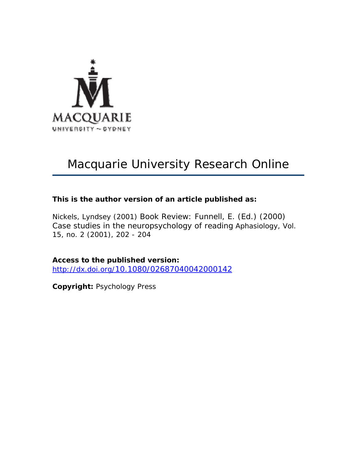

# Macquarie University Research Online

## **This is the author version of an article published as:**

Nickels, Lyndsey (2001) Book Review: Funnell, E. (Ed.) (2000) Case studies in the neuropsychology of reading *Aphasiology*, Vol. 15, no. 2 (2001), 202 - 204

**Access to the published version:** <http://dx.doi.org/10.1080/02687040042000142>

**Copyright:** Psychology Press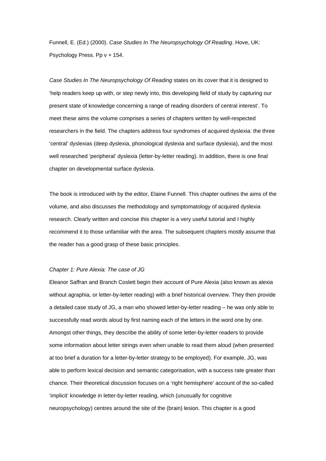Funnell, E. (Ed.) (2000). *Case Studies In The Neuropsychology Of Reading*. Hove, UK: Psychology Press. Pp v + 154.

*Case Studies In The Neuropsychology Of Reading* states on its cover that it is designed to 'help readers keep up with, or step newly into, this developing field of study by capturing our present state of knowledge concerning a range of reading disorders of central interest'. To meet these aims the volume comprises a series of chapters written by well-respected researchers in the field. The chapters address four syndromes of acquired dyslexia: the three 'central' dyslexias (deep dyslexia, phonological dyslexia and surface dyslexia), and the most well researched 'peripheral' dyslexia (letter-by-letter reading). In addition, there is one final chapter on developmental surface dyslexia.

The book is introduced with by the editor, Elaine Funnell. This chapter outlines the aims of the volume, and also discusses the methodology and symptomatology of acquired dyslexia research. Clearly written and concise this chapter is a very useful tutorial and I highly recommend it to those unfamiliar with the area. The subsequent chapters mostly assume that the reader has a good grasp of these basic principles.

#### *Chapter 1: Pure Alexia: The case of JG*

Eleanor Saffran and Branch Coslett begin their account of Pure Alexia (also known as alexia without agraphia, or letter-by-letter reading) with a brief historical overview. They then provide a detailed case study of JG, a man who showed letter-by-letter reading – he was only able to successfully read words aloud by first naming each of the letters in the word one by one. Amongst other things, they describe the ability of some letter-by-letter readers to provide some information about letter strings even when unable to read them aloud (when presented at too brief a duration for a letter-by-letter strategy to be employed). For example, JG, was able to perform lexical decision and semantic categorisation, with a success rate greater than chance. Their theoretical discussion focuses on a 'right hemisphere' account of the so-called 'implicit' knowledge in letter-by-letter reading, which (unusually for cognitive neuropsychology) centres around the site of the (brain) lesion. This chapter is a good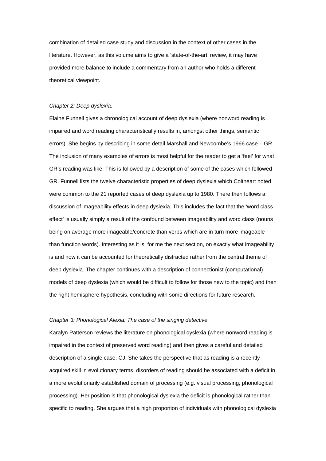combination of detailed case study and discussion in the context of other cases in the literature. However, as this volume aims to give a 'state-of-the-art' review, it may have provided more balance to include a commentary from an author who holds a different theoretical viewpoint.

#### *Chapter 2: Deep dyslexia*.

Elaine Funnell gives a chronological account of deep dyslexia (where nonword reading is impaired and word reading characteristically results in, amongst other things, semantic errors). She begins by describing in some detail Marshall and Newcombe's 1966 case – GR. The inclusion of many examples of errors is most helpful for the reader to get a 'feel' for what GR's reading was like. This is followed by a description of some of the cases which followed GR. Funnell lists the twelve characteristic properties of deep dyslexia which Coltheart noted were common to the 21 reported cases of deep dyslexia up to 1980. There then follows a discussion of imageability effects in deep dyslexia. This includes the fact that the 'word class effect' is usually simply a result of the confound between imageability and word class (nouns being on average more imageable/concrete than verbs which are in turn more imageable than function words). Interesting as it is, for me the next section, on exactly what imageability is and how it can be accounted for theoretically distracted rather from the central theme of deep dyslexia. The chapter continues with a description of connectionist (computational) models of deep dyslexia (which would be difficult to follow for those new to the topic) and then the right hemisphere hypothesis, concluding with some directions for future research.

#### *Chapter 3: Phonological Alexia: The case of the singing detective*

Karalyn Patterson reviews the literature on phonological dyslexia (where nonword reading is impaired in the context of preserved word reading) and then gives a careful and detailed description of a single case, CJ. She takes the perspective that as reading is a recently acquired skill in evolutionary terms, disorders of reading should be associated with a deficit in a more evolutionarily established domain of processing (e.g. visual processing, phonological processing). Her position is that phonological dyslexia the deficit is phonological rather than specific to reading. She argues that a high proportion of individuals with phonological dyslexia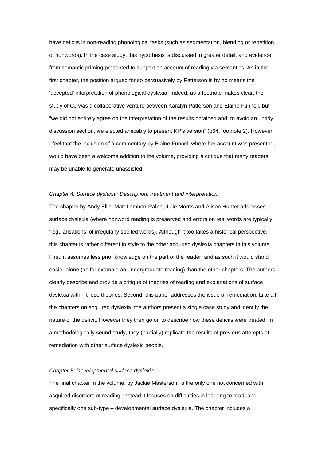have deficits in non-reading phonological tasks (such as segmentation, blending or repetition of nonwords). In the case study, this hypothesis is discussed in greater detail, and evidence from semantic priming presented to support an account of reading via semantics. As in the first chapter, the position argued for so persuasively by Patterson is by no means the 'accepted' interpretation of phonological dyslexia. Indeed, as a footnote makes clear, the study of CJ was a collaborative venture between Karalyn Patterson and Elaine Funnell, but "we did not entirely agree on the interpretation of the results obtained and, to avoid an untidy discussion section, we elected amicably to present KP's version" (p64, footnote 2). However, I feel that the inclusion of a commentary by Elaine Funnell where her account was presented, would have been a welcome addition to the volume, providing a critique that many readers may be unable to generate unassisted.

#### *Chapter 4: Surface dyslexia: Description, treatment and interpretation*.

The chapter by Andy Ellis, Matt Lambon-Ralph, Julie Morris and Alison Hunter addresses surface dyslexia (where nonword reading is preserved and errors on real words are typically 'regularisations' of irregularly spelled words). Although it too takes a historical perspective, this chapter is rather different in style to the other acquired dyslexia chapters in this volume. First, it assumes less prior knowledge on the part of the reader, and as such it would stand easier alone (as for example an undergraduate reading) than the other chapters. The authors clearly describe and provide a critique of theories of reading and explanations of surface dyslexia within these theories. Second, this paper addresses the issue of remediation. Like all the chapters on acquired dyslexia, the authors present a single case study and identify the nature of the deficit. However they then go on to describe how these deficits were treated. In a methodologically sound study, they (partially) replicate the results of previous attempts at remediation with other surface dyslexic people.

### *Chapter 5: Developmental surface dyslexia*

The final chapter in the volume, by Jackie Masterson, is the only one not concerned with acquired disorders of reading, instead it focuses on difficulties in learning to read, and specifically one sub-type – developmental surface dyslexia. The chapter includes a